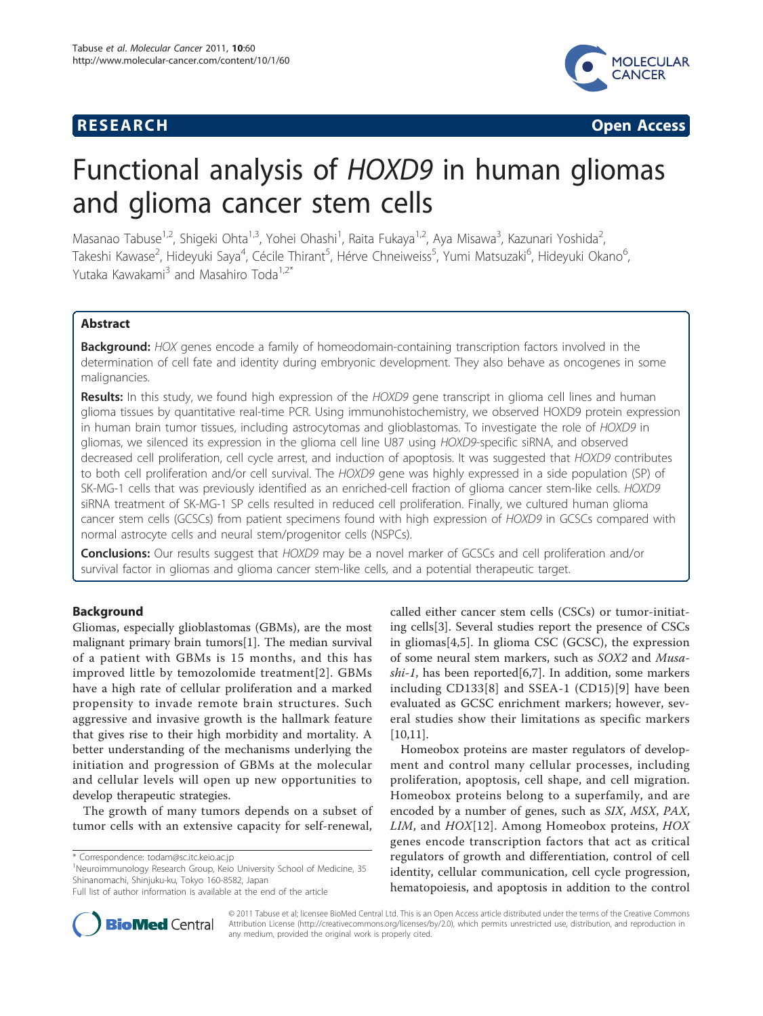

**RESEARCH CONSTRUCTED ACCESS** 

# Functional analysis of HOXD9 in human gliomas and glioma cancer stem cells

Masanao Tabuse<sup>1,2</sup>, Shigeki Ohta<sup>1,3</sup>, Yohei Ohashi<sup>1</sup>, Raita Fukaya<sup>1,2</sup>, Aya Misawa<sup>3</sup>, Kazunari Yoshida<sup>2</sup> , Takeshi Kawase<sup>2</sup>, Hideyuki Saya<sup>4</sup>, Cécile Thirant<sup>5</sup>, Hérve Chneiweiss<sup>5</sup>, Yumi Matsuzaki<sup>6</sup>, Hideyuki Okano<sup>6</sup> , Yutaka Kawakami<sup>3</sup> and Masahiro Toda<sup>1,2\*</sup>

# Abstract

Background: HOX genes encode a family of homeodomain-containing transcription factors involved in the determination of cell fate and identity during embryonic development. They also behave as oncogenes in some malignancies.

Results: In this study, we found high expression of the HOXD9 gene transcript in glioma cell lines and human glioma tissues by quantitative real-time PCR. Using immunohistochemistry, we observed HOXD9 protein expression in human brain tumor tissues, including astrocytomas and glioblastomas. To investigate the role of HOXD9 in gliomas, we silenced its expression in the glioma cell line U87 using HOXD9-specific siRNA, and observed decreased cell proliferation, cell cycle arrest, and induction of apoptosis. It was suggested that HOXD9 contributes to both cell proliferation and/or cell survival. The HOXD9 gene was highly expressed in a side population (SP) of SK-MG-1 cells that was previously identified as an enriched-cell fraction of glioma cancer stem-like cells. HOXD9 siRNA treatment of SK-MG-1 SP cells resulted in reduced cell proliferation. Finally, we cultured human glioma cancer stem cells (GCSCs) from patient specimens found with high expression of HOXD9 in GCSCs compared with normal astrocyte cells and neural stem/progenitor cells (NSPCs).

**Conclusions:** Our results suggest that HOXD9 may be a novel marker of GCSCs and cell proliferation and/or survival factor in gliomas and glioma cancer stem-like cells, and a potential therapeutic target.

# Background

Gliomas, especially glioblastomas (GBMs), are the most malignant primary brain tumors[[1\]](#page-12-0). The median survival of a patient with GBMs is 15 months, and this has improved little by temozolomide treatment[[2](#page-12-0)]. GBMs have a high rate of cellular proliferation and a marked propensity to invade remote brain structures. Such aggressive and invasive growth is the hallmark feature that gives rise to their high morbidity and mortality. A better understanding of the mechanisms underlying the initiation and progression of GBMs at the molecular and cellular levels will open up new opportunities to develop therapeutic strategies.

The growth of many tumors depends on a subset of tumor cells with an extensive capacity for self-renewal,

<sup>1</sup>Neuroimmunology Research Group, Keio University School of Medicine, 35 Shinanomachi, Shinjuku-ku, Tokyo 160-8582, Japan

called either cancer stem cells (CSCs) or tumor-initiating cells[[3\]](#page-12-0). Several studies report the presence of CSCs in gliomas[[4,5](#page-12-0)]. In glioma CSC (GCSC), the expression of some neural stem markers, such as SOX2 and Musa-shi-1, has been reported [\[6](#page-12-0)[,7](#page-13-0)]. In addition, some markers including CD133[[8\]](#page-13-0) and SSEA-1 (CD15)[\[9\]](#page-13-0) have been evaluated as GCSC enrichment markers; however, several studies show their limitations as specific markers [[10,11\]](#page-13-0).

Homeobox proteins are master regulators of development and control many cellular processes, including proliferation, apoptosis, cell shape, and cell migration. Homeobox proteins belong to a superfamily, and are encoded by a number of genes, such as SIX, MSX, PAX, LIM, and HOX[\[12\]](#page-13-0). Among Homeobox proteins, HOX genes encode transcription factors that act as critical regulators of growth and differentiation, control of cell identity, cellular communication, cell cycle progression, hematopoiesis, and apoptosis in addition to the control



© 2011 Tabuse et al; licensee BioMed Central Ltd. This is an Open Access article distributed under the terms of the Creative Commons Attribution License [\(http://creativecommons.org/licenses/by/2.0](http://creativecommons.org/licenses/by/2.0)), which permits unrestricted use, distribution, and reproduction in any medium, provided the original work is properly cited.

<sup>\*</sup> Correspondence: [todam@sc.itc.keio.ac.jp](mailto:todam@sc.itc.keio.ac.jp)

Full list of author information is available at the end of the article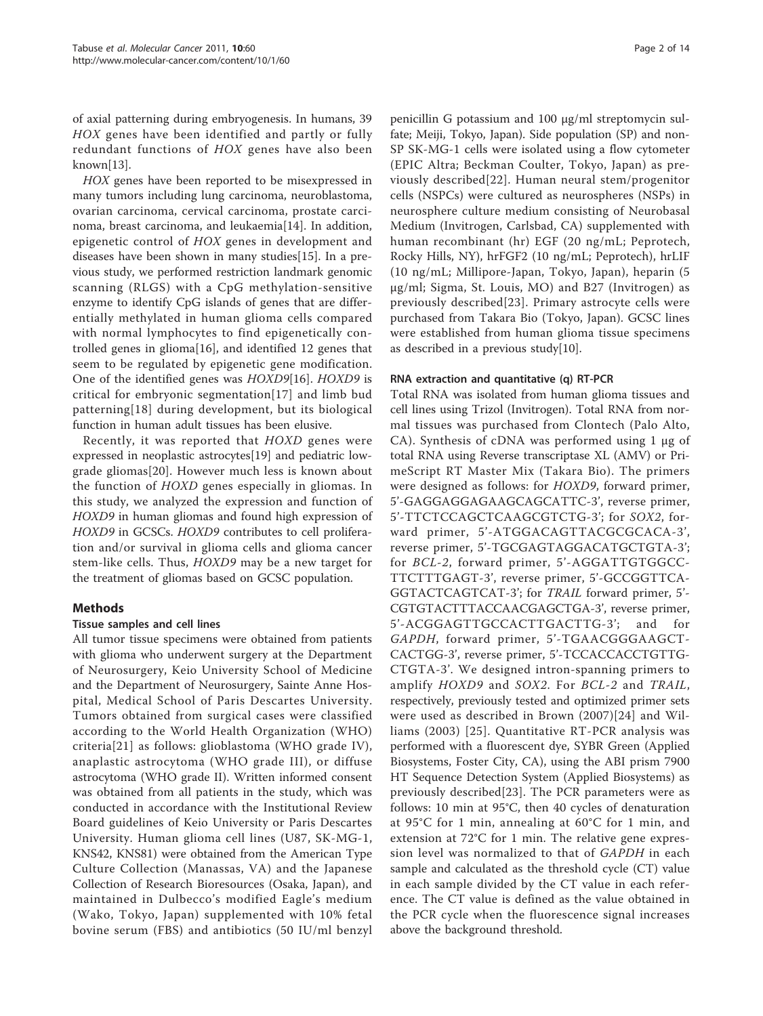of axial patterning during embryogenesis. In humans, 39 HOX genes have been identified and partly or fully redundant functions of HOX genes have also been known[\[13](#page-13-0)].

HOX genes have been reported to be misexpressed in many tumors including lung carcinoma, neuroblastoma, ovarian carcinoma, cervical carcinoma, prostate carcinoma, breast carcinoma, and leukaemia[\[14\]](#page-13-0). In addition, epigenetic control of HOX genes in development and diseases have been shown in many studies[\[15](#page-13-0)]. In a previous study, we performed restriction landmark genomic scanning (RLGS) with a CpG methylation-sensitive enzyme to identify CpG islands of genes that are differentially methylated in human glioma cells compared with normal lymphocytes to find epigenetically controlled genes in glioma[[16\]](#page-13-0), and identified 12 genes that seem to be regulated by epigenetic gene modification. One of the identified genes was HOXD9[[16](#page-13-0)]. HOXD9 is critical for embryonic segmentation[[17](#page-13-0)] and limb bud patterning[[18\]](#page-13-0) during development, but its biological function in human adult tissues has been elusive.

Recently, it was reported that HOXD genes were expressed in neoplastic astrocytes[[19\]](#page-13-0) and pediatric lowgrade gliomas[[20](#page-13-0)]. However much less is known about the function of HOXD genes especially in gliomas. In this study, we analyzed the expression and function of HOXD9 in human gliomas and found high expression of HOXD9 in GCSCs. HOXD9 contributes to cell proliferation and/or survival in glioma cells and glioma cancer stem-like cells. Thus, HOXD9 may be a new target for the treatment of gliomas based on GCSC population.

# Methods

# Tissue samples and cell lines

All tumor tissue specimens were obtained from patients with glioma who underwent surgery at the Department of Neurosurgery, Keio University School of Medicine and the Department of Neurosurgery, Sainte Anne Hospital, Medical School of Paris Descartes University. Tumors obtained from surgical cases were classified according to the World Health Organization (WHO) criteria[[21](#page-13-0)] as follows: glioblastoma (WHO grade IV), anaplastic astrocytoma (WHO grade III), or diffuse astrocytoma (WHO grade II). Written informed consent was obtained from all patients in the study, which was conducted in accordance with the Institutional Review Board guidelines of Keio University or Paris Descartes University. Human glioma cell lines (U87, SK-MG-1, KNS42, KNS81) were obtained from the American Type Culture Collection (Manassas, VA) and the Japanese Collection of Research Bioresources (Osaka, Japan), and maintained in Dulbecco's modified Eagle's medium (Wako, Tokyo, Japan) supplemented with 10% fetal bovine serum (FBS) and antibiotics (50 IU/ml benzyl

penicillin G potassium and 100 μg/ml streptomycin sulfate; Meiji, Tokyo, Japan). Side population (SP) and non-SP SK-MG-1 cells were isolated using a flow cytometer (EPIC Altra; Beckman Coulter, Tokyo, Japan) as previously described[[22](#page-13-0)]. Human neural stem/progenitor cells (NSPCs) were cultured as neurospheres (NSPs) in neurosphere culture medium consisting of Neurobasal Medium (Invitrogen, Carlsbad, CA) supplemented with human recombinant (hr) EGF (20 ng/mL; Peprotech, Rocky Hills, NY), hrFGF2 (10 ng/mL; Peprotech), hrLIF (10 ng/mL; Millipore-Japan, Tokyo, Japan), heparin (5 μg/ml; Sigma, St. Louis, MO) and B27 (Invitrogen) as previously described[[23\]](#page-13-0). Primary astrocyte cells were purchased from Takara Bio (Tokyo, Japan). GCSC lines were established from human glioma tissue specimens as described in a previous study[\[10](#page-13-0)].

# RNA extraction and quantitative (q) RT-PCR

Total RNA was isolated from human glioma tissues and cell lines using Trizol (Invitrogen). Total RNA from normal tissues was purchased from Clontech (Palo Alto, CA). Synthesis of cDNA was performed using 1 μg of total RNA using Reverse transcriptase XL (AMV) or PrimeScript RT Master Mix (Takara Bio). The primers were designed as follows: for HOXD9, forward primer, 5'-GAGGAGGAGAAGCAGCATTC-3', reverse primer, 5'-TTCTCCAGCTCAAGCGTCTG-3'; for SOX2, forward primer, 5'-ATGGACAGTTACGCGCACA-3', reverse primer, 5'-TGCGAGTAGGACATGCTGTA-3'; for BCL-2, forward primer, 5'-AGGATTGTGGCC-TTCTTTGAGT-3', reverse primer, 5'-GCCGGTTCA-GGTACTCAGTCAT-3'; for TRAIL forward primer, 5'- CGTGTACTTTACCAACGAGCTGA-3', reverse primer, 5'-ACGGAGTTGCCACTTGACTTG-3'; and for GAPDH, forward primer, 5'-TGAACGGGAAGCT-CACTGG-3', reverse primer, 5'-TCCACCACCTGTTG-CTGTA-3'. We designed intron-spanning primers to amplify HOXD9 and SOX2. For BCL-2 and TRAIL, respectively, previously tested and optimized primer sets were used as described in Brown (2007)[[24](#page-13-0)] and Williams (2003) [[25](#page-13-0)]. Quantitative RT-PCR analysis was performed with a fluorescent dye, SYBR Green (Applied Biosystems, Foster City, CA), using the ABI prism 7900 HT Sequence Detection System (Applied Biosystems) as previously described[[23](#page-13-0)]. The PCR parameters were as follows: 10 min at 95°C, then 40 cycles of denaturation at 95°C for 1 min, annealing at 60°C for 1 min, and extension at 72°C for 1 min. The relative gene expression level was normalized to that of GAPDH in each sample and calculated as the threshold cycle (CT) value in each sample divided by the CT value in each reference. The CT value is defined as the value obtained in the PCR cycle when the fluorescence signal increases above the background threshold.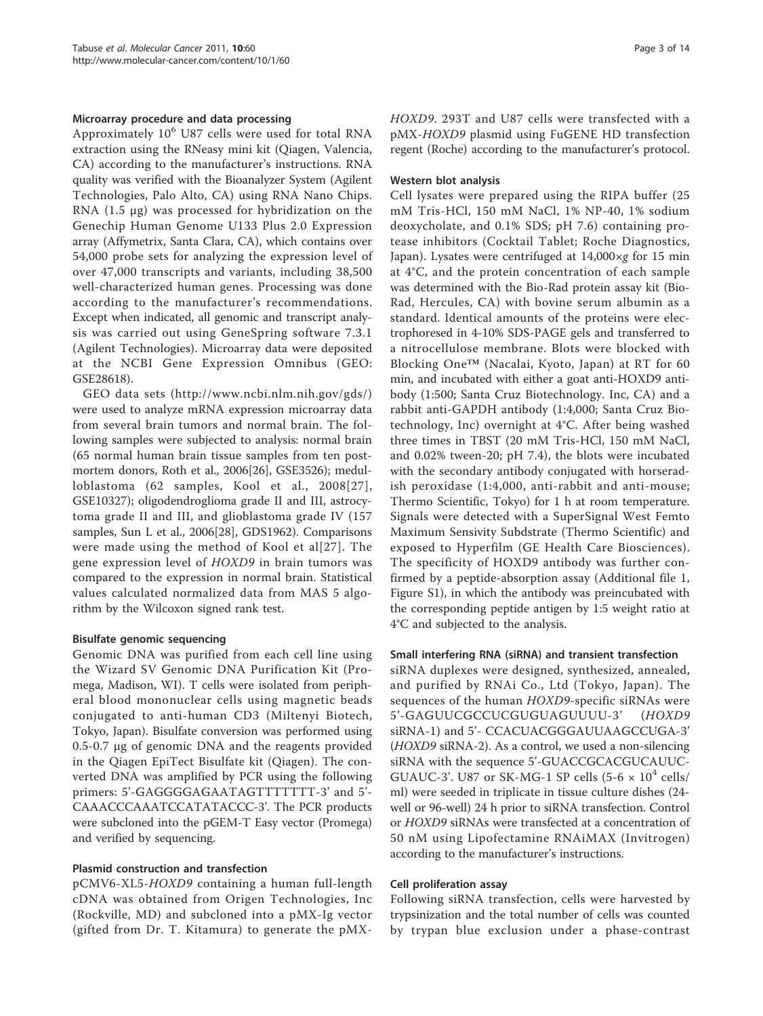# Microarray procedure and data processing

Approximately  $10^6$  U87 cells were used for total RNA extraction using the RNeasy mini kit (Qiagen, Valencia, CA) according to the manufacturer's instructions. RNA quality was verified with the Bioanalyzer System (Agilent Technologies, Palo Alto, CA) using RNA Nano Chips. RNA (1.5 μg) was processed for hybridization on the Genechip Human Genome U133 Plus 2.0 Expression array (Affymetrix, Santa Clara, CA), which contains over 54,000 probe sets for analyzing the expression level of over 47,000 transcripts and variants, including 38,500 well-characterized human genes. Processing was done according to the manufacturer's recommendations. Except when indicated, all genomic and transcript analysis was carried out using GeneSpring software 7.3.1 (Agilent Technologies). Microarray data were deposited at the NCBI Gene Expression Omnibus (GEO: GSE28618).

GEO data sets (<http://www.ncbi.nlm.nih.gov/gds/>) were used to analyze mRNA expression microarray data from several brain tumors and normal brain. The following samples were subjected to analysis: normal brain (65 normal human brain tissue samples from ten postmortem donors, Roth et al., 2006[\[26\]](#page-13-0), GSE3526); medulloblastoma (62 samples, Kool et al., 2008[[27\]](#page-13-0), GSE10327); oligodendroglioma grade II and III, astrocytoma grade II and III, and glioblastoma grade IV (157 samples, Sun L et al., 2006[[28](#page-13-0)], GDS1962). Comparisons were made using the method of Kool et al[[27\]](#page-13-0). The gene expression level of HOXD9 in brain tumors was compared to the expression in normal brain. Statistical values calculated normalized data from MAS 5 algorithm by the Wilcoxon signed rank test.

# Bisulfate genomic sequencing

Genomic DNA was purified from each cell line using the Wizard SV Genomic DNA Purification Kit (Promega, Madison, WI). T cells were isolated from peripheral blood mononuclear cells using magnetic beads conjugated to anti-human CD3 (Miltenyi Biotech, Tokyo, Japan). Bisulfate conversion was performed using 0.5-0.7 μg of genomic DNA and the reagents provided in the Qiagen EpiTect Bisulfate kit (Qiagen). The converted DNA was amplified by PCR using the following primers: 5'-GAGGGGAGAATAGTTTTTTT-3' and 5'-CAAACCCAAATCCATATACCC-3'. The PCR products were subcloned into the pGEM-T Easy vector (Promega) and verified by sequencing.

# Plasmid construction and transfection

pCMV6-XL5-HOXD9 containing a human full-length cDNA was obtained from Origen Technologies, Inc (Rockville, MD) and subcloned into a pMX-Ig vector (gifted from Dr. T. Kitamura) to generate the pMX-

HOXD9. 293T and U87 cells were transfected with a pMX-HOXD9 plasmid using FuGENE HD transfection regent (Roche) according to the manufacturer's protocol.

# Western blot analysis

Cell lysates were prepared using the RIPA buffer (25 mM Tris-HCl, 150 mM NaCl, 1% NP-40, 1% sodium deoxycholate, and 0.1% SDS; pH 7.6) containing protease inhibitors (Cocktail Tablet; Roche Diagnostics, Japan). Lysates were centrifuged at  $14,000 \times g$  for 15 min at 4°C, and the protein concentration of each sample was determined with the Bio-Rad protein assay kit (Bio-Rad, Hercules, CA) with bovine serum albumin as a standard. Identical amounts of the proteins were electrophoresed in 4-10% SDS-PAGE gels and transferred to a nitrocellulose membrane. Blots were blocked with Blocking One™ (Nacalai, Kyoto, Japan) at RT for 60 min, and incubated with either a goat anti-HOXD9 antibody (1:500; Santa Cruz Biotechnology. Inc, CA) and a rabbit anti-GAPDH antibody (1:4,000; Santa Cruz Biotechnology, Inc) overnight at 4°C. After being washed three times in TBST (20 mM Tris-HCl, 150 mM NaCl, and 0.02% tween-20; pH 7.4), the blots were incubated with the secondary antibody conjugated with horseradish peroxidase (1:4,000, anti-rabbit and anti-mouse; Thermo Scientific, Tokyo) for 1 h at room temperature. Signals were detected with a SuperSignal West Femto Maximum Sensivity Subdstrate (Thermo Scientific) and exposed to Hyperfilm (GE Health Care Biosciences). The specificity of HOXD9 antibody was further confirmed by a peptide-absorption assay (Additional file [1](#page-12-0), Figure S1), in which the antibody was preincubated with the corresponding peptide antigen by 1:5 weight ratio at 4°C and subjected to the analysis.

# Small interfering RNA (siRNA) and transient transfection

siRNA duplexes were designed, synthesized, annealed, and purified by RNAi Co., Ltd (Tokyo, Japan). The sequences of the human HOXD9-specific siRNAs were 5'-GAGUUCGCCUCGUGUAGUUUU-3' (HOXD9 siRNA-1) and 5'- CCACUACGGGAUUAAGCCUGA-3' (HOXD9 siRNA-2). As a control, we used a non-silencing siRNA with the sequence 5'-GUACCGCACGUCAUUC-GUAUC-3'. U87 or SK-MG-1 SP cells (5-6  $\times$  10<sup>4</sup> cells/ ml) were seeded in triplicate in tissue culture dishes (24 well or 96-well) 24 h prior to siRNA transfection. Control or HOXD9 siRNAs were transfected at a concentration of 50 nM using Lipofectamine RNAiMAX (Invitrogen) according to the manufacturer's instructions.

# Cell proliferation assay

Following siRNA transfection, cells were harvested by trypsinization and the total number of cells was counted by trypan blue exclusion under a phase-contrast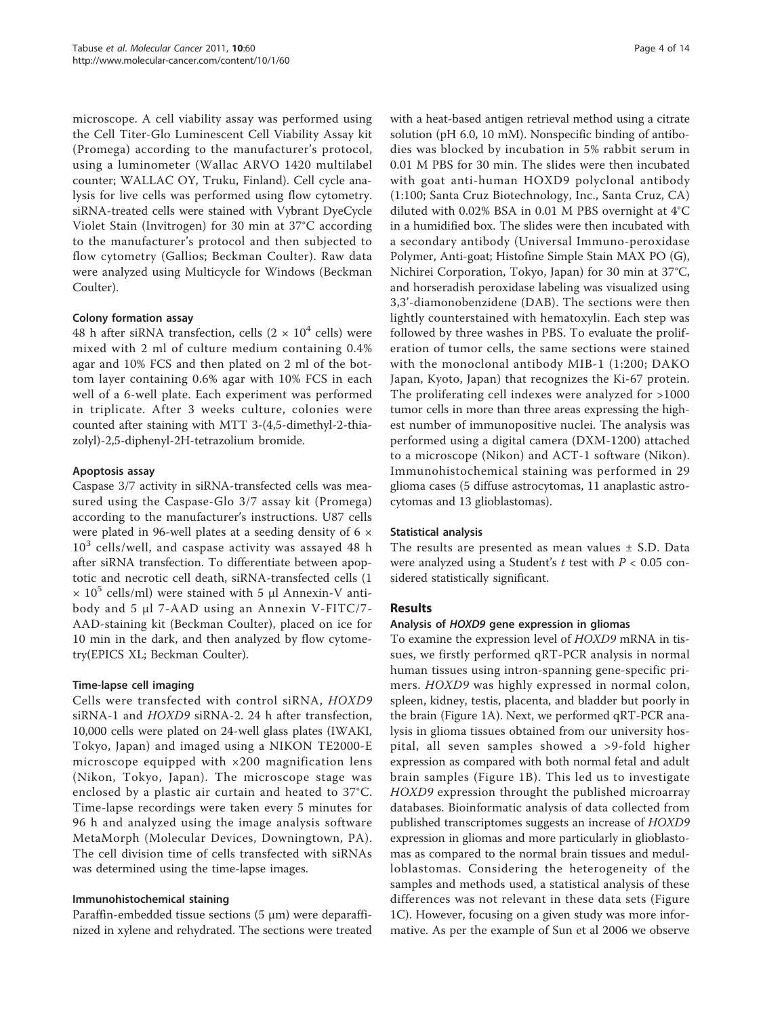microscope. A cell viability assay was performed using the Cell Titer-Glo Luminescent Cell Viability Assay kit (Promega) according to the manufacturer's protocol, using a luminometer (Wallac ARVO 1420 multilabel counter; WALLAC OY, Truku, Finland). Cell cycle analysis for live cells was performed using flow cytometry. siRNA-treated cells were stained with Vybrant DyeCycle Violet Stain (Invitrogen) for 30 min at 37°C according to the manufacturer's protocol and then subjected to flow cytometry (Gallios; Beckman Coulter). Raw data were analyzed using Multicycle for Windows (Beckman Coulter).

# Colony formation assay

48 h after siRNA transfection, cells (2  $\times$  10<sup>4</sup> cells) were mixed with 2 ml of culture medium containing 0.4% agar and 10% FCS and then plated on 2 ml of the bottom layer containing 0.6% agar with 10% FCS in each well of a 6-well plate. Each experiment was performed in triplicate. After 3 weeks culture, colonies were counted after staining with MTT 3-(4,5-dimethyl-2-thiazolyl)-2,5-diphenyl-2H-tetrazolium bromide.

# Apoptosis assay

Caspase 3/7 activity in siRNA-transfected cells was measured using the Caspase-Glo 3/7 assay kit (Promega) according to the manufacturer's instructions. U87 cells were plated in 96-well plates at a seeding density of 6 ×  $10^3$  cells/well, and caspase activity was assayed 48 h after siRNA transfection. To differentiate between apoptotic and necrotic cell death, siRNA-transfected cells (1  $\times$  10<sup>5</sup> cells/ml) were stained with 5  $\mu$ l Annexin-V antibody and 5 μl 7-AAD using an Annexin V-FITC/7- AAD-staining kit (Beckman Coulter), placed on ice for 10 min in the dark, and then analyzed by flow cytometry(EPICS XL; Beckman Coulter).

# Time-lapse cell imaging

Cells were transfected with control siRNA, HOXD9 siRNA-1 and HOXD9 siRNA-2. 24 h after transfection, 10,000 cells were plated on 24-well glass plates (IWAKI, Tokyo, Japan) and imaged using a NIKON TE2000-E microscope equipped with  $\times 200$  magnification lens (Nikon, Tokyo, Japan). The microscope stage was enclosed by a plastic air curtain and heated to 37°C. Time-lapse recordings were taken every 5 minutes for 96 h and analyzed using the image analysis software MetaMorph (Molecular Devices, Downingtown, PA). The cell division time of cells transfected with siRNAs was determined using the time-lapse images.

### Immunohistochemical staining

Paraffin-embedded tissue sections (5 μm) were deparaffinized in xylene and rehydrated. The sections were treated with a heat-based antigen retrieval method using a citrate solution (pH 6.0, 10 mM). Nonspecific binding of antibodies was blocked by incubation in 5% rabbit serum in 0.01 M PBS for 30 min. The slides were then incubated with goat anti-human HOXD9 polyclonal antibody (1:100; Santa Cruz Biotechnology, Inc., Santa Cruz, CA) diluted with 0.02% BSA in 0.01 M PBS overnight at 4°C in a humidified box. The slides were then incubated with a secondary antibody (Universal Immuno-peroxidase Polymer, Anti-goat; Histofine Simple Stain MAX PO (G), Nichirei Corporation, Tokyo, Japan) for 30 min at 37°C, and horseradish peroxidase labeling was visualized using 3,3'-diamonobenzidene (DAB). The sections were then lightly counterstained with hematoxylin. Each step was followed by three washes in PBS. To evaluate the proliferation of tumor cells, the same sections were stained with the monoclonal antibody MIB-1 (1:200; DAKO Japan, Kyoto, Japan) that recognizes the Ki-67 protein. The proliferating cell indexes were analyzed for >1000 tumor cells in more than three areas expressing the highest number of immunopositive nuclei. The analysis was performed using a digital camera (DXM-1200) attached to a microscope (Nikon) and ACT-1 software (Nikon). Immunohistochemical staining was performed in 29 glioma cases (5 diffuse astrocytomas, 11 anaplastic astrocytomas and 13 glioblastomas).

### Statistical analysis

The results are presented as mean values  $\pm$  S.D. Data were analyzed using a Student's  $t$  test with  $P < 0.05$  considered statistically significant.

### Results

# Analysis of HOXD9 gene expression in gliomas

To examine the expression level of HOXD9 mRNA in tissues, we firstly performed qRT-PCR analysis in normal human tissues using intron-spanning gene-specific primers. HOXD9 was highly expressed in normal colon, spleen, kidney, testis, placenta, and bladder but poorly in the brain (Figure [1A](#page-4-0)). Next, we performed qRT-PCR analysis in glioma tissues obtained from our university hospital, all seven samples showed a >9-fold higher expression as compared with both normal fetal and adult brain samples (Figure [1B\)](#page-4-0). This led us to investigate HOXD9 expression throught the published microarray databases. Bioinformatic analysis of data collected from published transcriptomes suggests an increase of HOXD9 expression in gliomas and more particularly in glioblastomas as compared to the normal brain tissues and medulloblastomas. Considering the heterogeneity of the samples and methods used, a statistical analysis of these differences was not relevant in these data sets (Figure [1C](#page-4-0)). However, focusing on a given study was more informative. As per the example of Sun et al 2006 we observe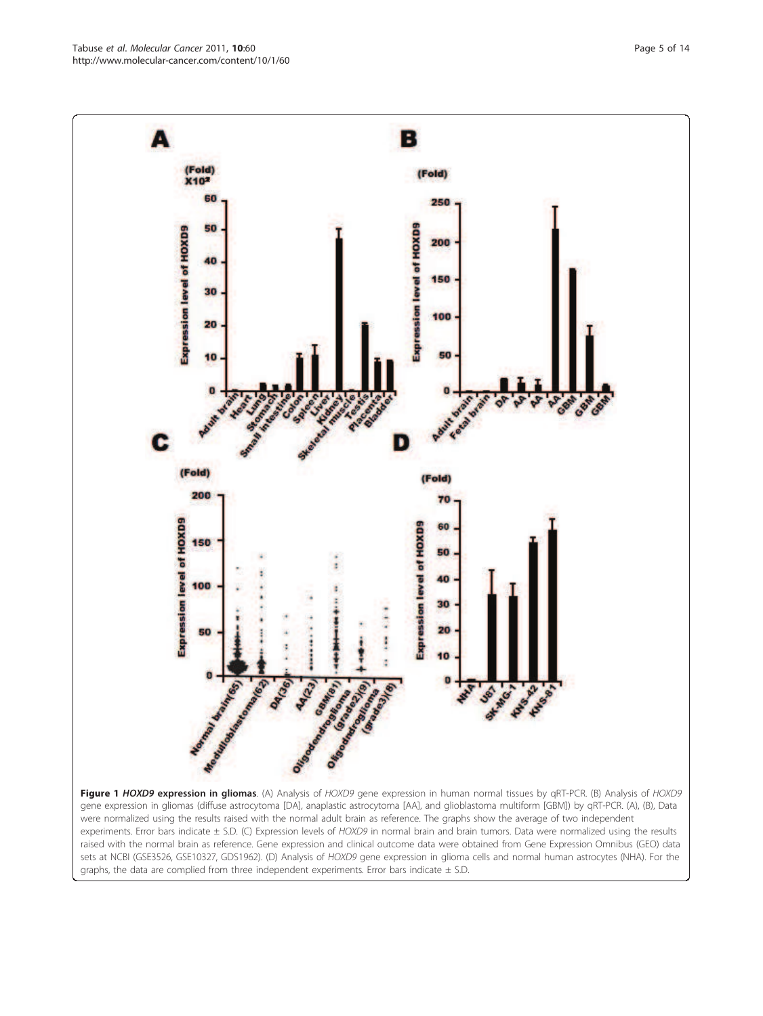<span id="page-4-0"></span>Tabuse et al. Molecular Cancer 2011, 10:60 http://www.molecular-cancer.com/content/10/1/60



experiments. Error bars indicate ± S.D. (C) Expression levels of HOXD9 in normal brain and brain tumors. Data were normalized using the results raised with the normal brain as reference. Gene expression and clinical outcome data were obtained from Gene Expression Omnibus (GEO) data sets at NCBI (GSE3526, GSE10327, GDS1962). (D) Analysis of HOXD9 gene expression in glioma cells and normal human astrocytes (NHA). For the graphs, the data are complied from three independent experiments. Error bars indicate  $\pm$  S.D.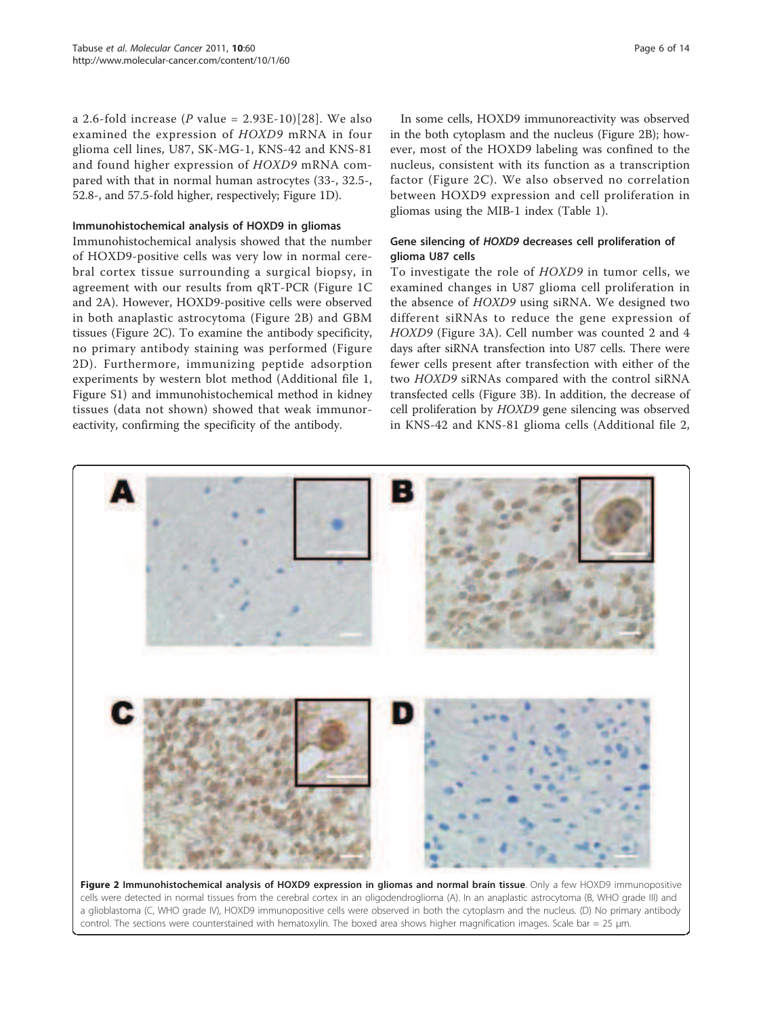a 2.6-fold increase (P value =  $2.93E-10$ )[[28](#page-13-0)]. We also examined the expression of HOXD9 mRNA in four glioma cell lines, U87, SK-MG-1, KNS-42 and KNS-81 and found higher expression of HOXD9 mRNA compared with that in normal human astrocytes (33-, 32.5-, 52.8-, and 57.5-fold higher, respectively; Figure [1D](#page-4-0)).

# Immunohistochemical analysis of HOXD9 in gliomas

Immunohistochemical analysis showed that the number of HOXD9-positive cells was very low in normal cerebral cortex tissue surrounding a surgical biopsy, in agreement with our results from qRT-PCR (Figure [1C](#page-4-0) and 2A). However, HOXD9-positive cells were observed in both anaplastic astrocytoma (Figure 2B) and GBM tissues (Figure 2C). To examine the antibody specificity, no primary antibody staining was performed (Figure 2D). Furthermore, immunizing peptide adsorption experiments by western blot method (Additional file [1](#page-12-0), Figure S1) and immunohistochemical method in kidney tissues (data not shown) showed that weak immunoreactivity, confirming the specificity of the antibody.

In some cells, HOXD9 immunoreactivity was observed in the both cytoplasm and the nucleus (Figure 2B); however, most of the HOXD9 labeling was confined to the nucleus, consistent with its function as a transcription factor (Figure 2C). We also observed no correlation between HOXD9 expression and cell proliferation in gliomas using the MIB-1 index (Table [1\)](#page-6-0).

# Gene silencing of HOXD9 decreases cell proliferation of glioma U87 cells

To investigate the role of HOXD9 in tumor cells, we examined changes in U87 glioma cell proliferation in the absence of HOXD9 using siRNA. We designed two different siRNAs to reduce the gene expression of HOXD9 (Figure [3A](#page-7-0)). Cell number was counted 2 and 4 days after siRNA transfection into U87 cells. There were fewer cells present after transfection with either of the two HOXD9 siRNAs compared with the control siRNA transfected cells (Figure [3B\)](#page-7-0). In addition, the decrease of cell proliferation by HOXD9 gene silencing was observed in KNS-42 and KNS-81 glioma cells (Additional file [2](#page-12-0),



Figure 2 Immunohistochemical analysis of HOXD9 expression in gliomas and normal brain tissue. Only a few HOXD9 immunopositive cells were detected in normal tissues from the cerebral cortex in an oligodendroglioma (A). In an anaplastic astrocytoma (B, WHO grade III) and a glioblastoma (C, WHO grade IV), HOXD9 immunopositive cells were observed in both the cytoplasm and the nucleus. (D) No primary antibody control. The sections were counterstained with hematoxylin. The boxed area shows higher magnification images. Scale bar = 25 μm.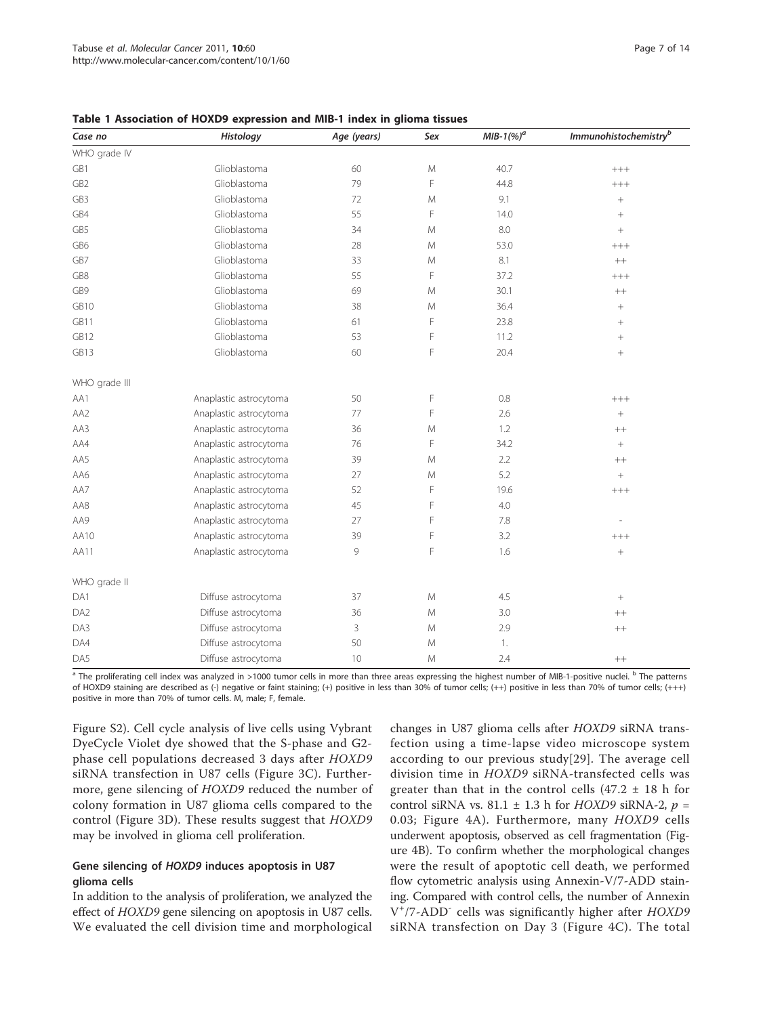| Case no         | Histology              | Age (years) | Sex           | $MIB-1(%)^a$ | Immunohistochemistry <sup>b</sup> |
|-----------------|------------------------|-------------|---------------|--------------|-----------------------------------|
| WHO grade IV    |                        |             |               |              |                                   |
| GB1             | Glioblastoma           | 60          | M             | 40.7         | $^{+++}$                          |
| GB <sub>2</sub> | Glioblastoma           | 79          | F             | 44.8         | $++++$                            |
| GB3             | Glioblastoma           | 72          | M             | 9.1          | $^{+}$                            |
| GB4             | Glioblastoma           | 55          | F             | 14.0         |                                   |
| GB5             | Glioblastoma           | 34          | M             | 8.0          |                                   |
| GB6             | Glioblastoma           | 28          | M             | 53.0         | $^{+++}$                          |
| GB7             | Glioblastoma           | 33          | M             | 8.1          | $^{++}$                           |
| GB8             | Glioblastoma           | 55          | F             | 37.2         | $^{+++}$                          |
| GB9             | Glioblastoma           | 69          | M             | 30.1         | $^{++}$                           |
| GB10            | Glioblastoma           | 38          | M             | 36.4         |                                   |
| GB11            | Glioblastoma           | 61          | F             | 23.8         |                                   |
| GB12            | Glioblastoma           | 53          | F             | 11.2         |                                   |
| GB13            | Glioblastoma           | 60          | F             | 20.4         |                                   |
| WHO grade III   |                        |             |               |              |                                   |
| AA1             | Anaplastic astrocytoma | 50          | F             | $0.8\,$      | $^{+++}$                          |
| AA2             | Anaplastic astrocytoma | 77          | F             | 2.6          | $^{+}$                            |
| AA3             | Anaplastic astrocytoma | 36          | M             | 1.2          | $++$                              |
| AA4             | Anaplastic astrocytoma | 76          | F             | 34.2         | $\! + \!$                         |
| AA5             | Anaplastic astrocytoma | 39          | M             | 2.2          | $++$                              |
| AA6             | Anaplastic astrocytoma | 27          | ${\mathsf M}$ | 5.2          | $\! + \!$                         |
| AA7             | Anaplastic astrocytoma | 52          | F             | 19.6         | $^{+++}$                          |
| AA8             | Anaplastic astrocytoma | 45          | F             | 4.0          |                                   |
| AA9             | Anaplastic astrocytoma | 27          | F             | 7.8          |                                   |
| AA10            | Anaplastic astrocytoma | 39          | F             | 3.2          | $^{+++}$                          |
| AA11            | Anaplastic astrocytoma | 9           | F             | 1.6          | $\! + \!$                         |
| WHO grade II    |                        |             |               |              |                                   |
| DA1             | Diffuse astrocytoma    | 37          | M             | 4.5          | $\! + \!$                         |
| DA <sub>2</sub> | Diffuse astrocytoma    | 36          | M             | 3.0          | $++$                              |
| DA3             | Diffuse astrocytoma    | 3           | M             | 2.9          | $^{++}$                           |
| DA4             | Diffuse astrocytoma    | 50          | M             | 1.           |                                   |
| DA5             | Diffuse astrocytoma    | 10          | M             | 2.4          | $^{++}$                           |

<span id="page-6-0"></span>Table 1 Association of HOXD9 expression and MIB-1 index in glioma tissues

<sup>a</sup> The proliferating cell index was analyzed in >1000 tumor cells in more than three areas expressing the highest number of MIB-1-positive nuclei. <sup>b</sup> The patterns of HOXD9 staining are described as (-) negative or faint staining; (+) positive in less than 30% of tumor cells; (++) positive in less than 70% of tumor cells; (+++) positive in more than 70% of tumor cells. M, male; F, female.

Figure S2). Cell cycle analysis of live cells using Vybrant DyeCycle Violet dye showed that the S-phase and G2 phase cell populations decreased 3 days after HOXD9 siRNA transfection in U87 cells (Figure [3C](#page-7-0)). Furthermore, gene silencing of HOXD9 reduced the number of colony formation in U87 glioma cells compared to the control (Figure [3D\)](#page-7-0). These results suggest that HOXD9 may be involved in glioma cell proliferation.

# Gene silencing of HOXD9 induces apoptosis in U87 glioma cells

In addition to the analysis of proliferation, we analyzed the effect of HOXD9 gene silencing on apoptosis in U87 cells. We evaluated the cell division time and morphological changes in U87 glioma cells after HOXD9 siRNA transfection using a time-lapse video microscope system according to our previous study[[29\]](#page-13-0). The average cell division time in HOXD9 siRNA-transfected cells was greater than that in the control cells  $(47.2 \pm 18)$  h for control siRNA vs. 81.1  $\pm$  1.3 h for HOXD9 siRNA-2,  $p =$ 0.03; Figure [4A](#page-8-0)). Furthermore, many HOXD9 cells underwent apoptosis, observed as cell fragmentation (Figure [4B](#page-8-0)). To confirm whether the morphological changes were the result of apoptotic cell death, we performed flow cytometric analysis using Annexin-V/7-ADD staining. Compared with control cells, the number of Annexin V<sup>+</sup>/7-ADD<sup>-</sup> cells was significantly higher after HOXD9 siRNA transfection on Day 3 (Figure [4C](#page-8-0)). The total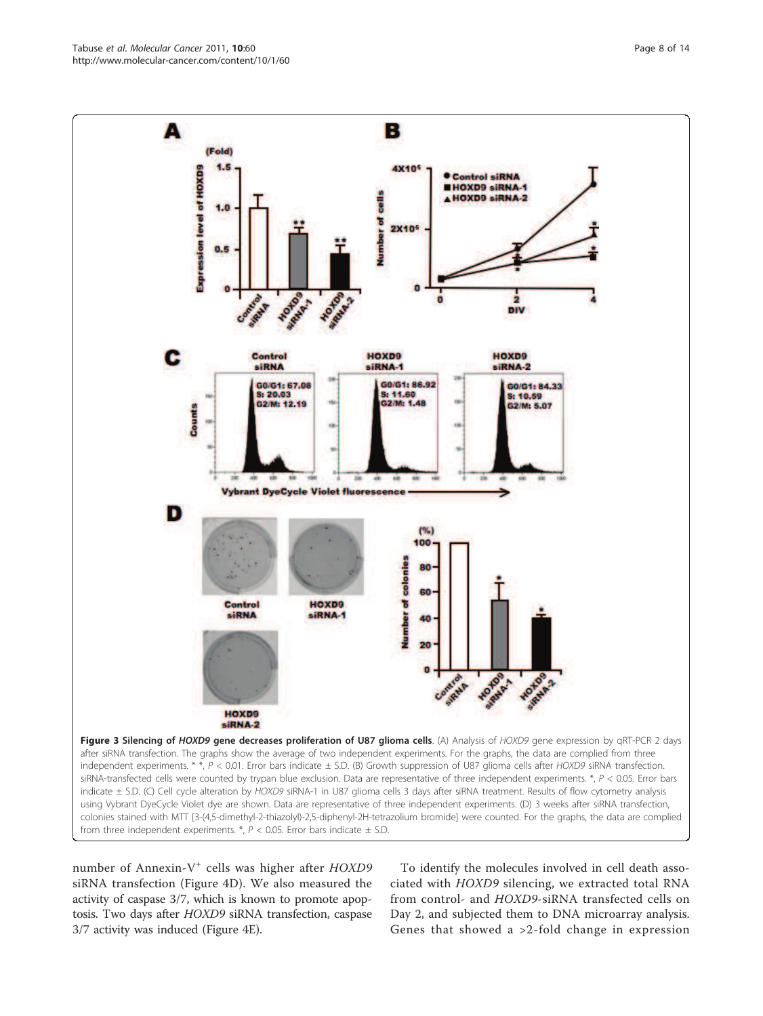number of Annexin-V<sup>+</sup> cells was higher after HOXD9 siRNA transfection (Figure [4D](#page-8-0)). We also measured the activity of caspase 3/7, which is known to promote apoptosis. Two days after HOXD9 siRNA transfection, caspase 3/7 activity was induced (Figure [4E\)](#page-8-0).

To identify the molecules involved in cell death associated with HOXD9 silencing, we extracted total RNA from control- and HOXD9-siRNA transfected cells on Day 2, and subjected them to DNA microarray analysis. Genes that showed a >2-fold change in expression



<span id="page-7-0"></span>Tabuse et al. Molecular Cancer 2011, 10:60 http://www.molecular-cancer.com/content/10/1/60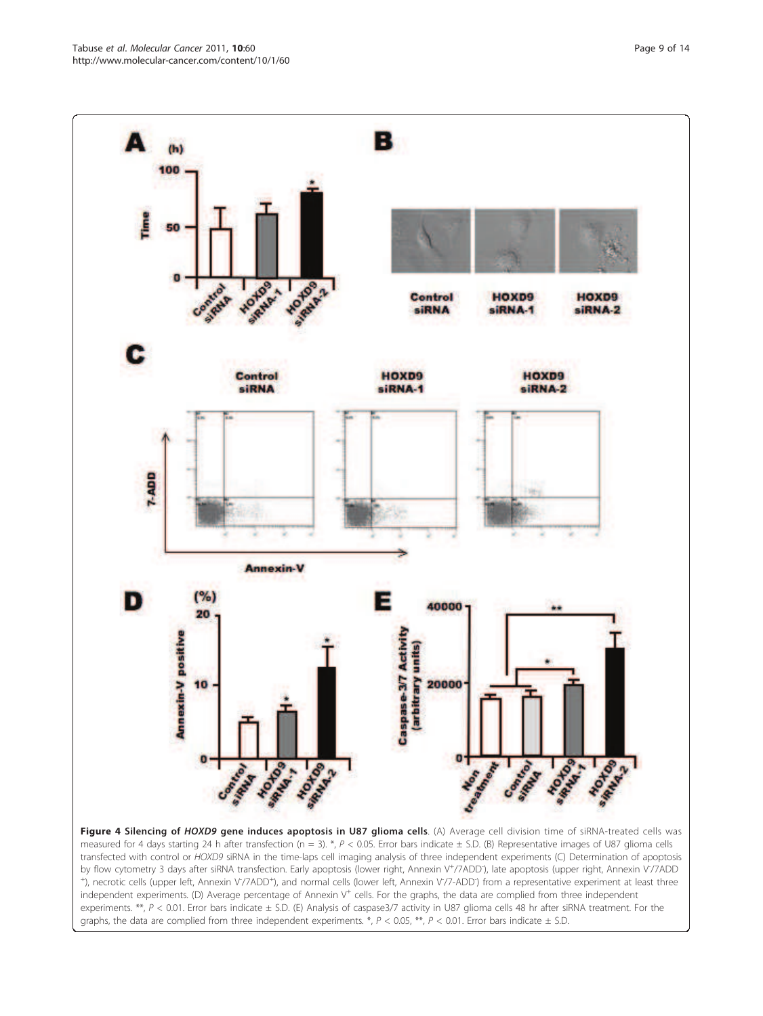<span id="page-8-0"></span>

Figure 4 Silencing of HOXD9 gene induces apoptosis in U87 glioma cells. (A) Average cell division time of siRNA-treated cells was measured for 4 days starting 24 h after transfection (n = 3). \*,  $P < 0.05$ . Error bars indicate  $\pm$  S.D. (B) Representative images of U87 glioma cells transfected with control or HOXD9 siRNA in the time-laps cell imaging analysis of three independent experiments (C) Determination of apoptosis by flow cytometry 3 days after siRNA transfection. Early apoptosis (lower right, Annexin V<sup>+</sup>/7ADD), late apoptosis (upper right, Annexin V<sup>-</sup>/7ADD +), necrotic cells (upper left, Annexin V/7ADD<sup>+</sup>), and normal cells (lower left, Annexin V/7-ADD<sup>-</sup>) from a representative experiment at least three independent experiments. (D) Average percentage of Annexin V<sup>+</sup> cells. For the graphs, the data are complied from three independent experiments. \*\*,  $P < 0.01$ . Error bars indicate  $\pm$  S.D. (E) Analysis of caspase3/7 activity in U87 glioma cells 48 hr after siRNA treatment. For the graphs, the data are complied from three independent experiments. \*,  $P < 0.05$ , \*\*,  $P < 0.01$ . Error bars indicate  $\pm$  S.D.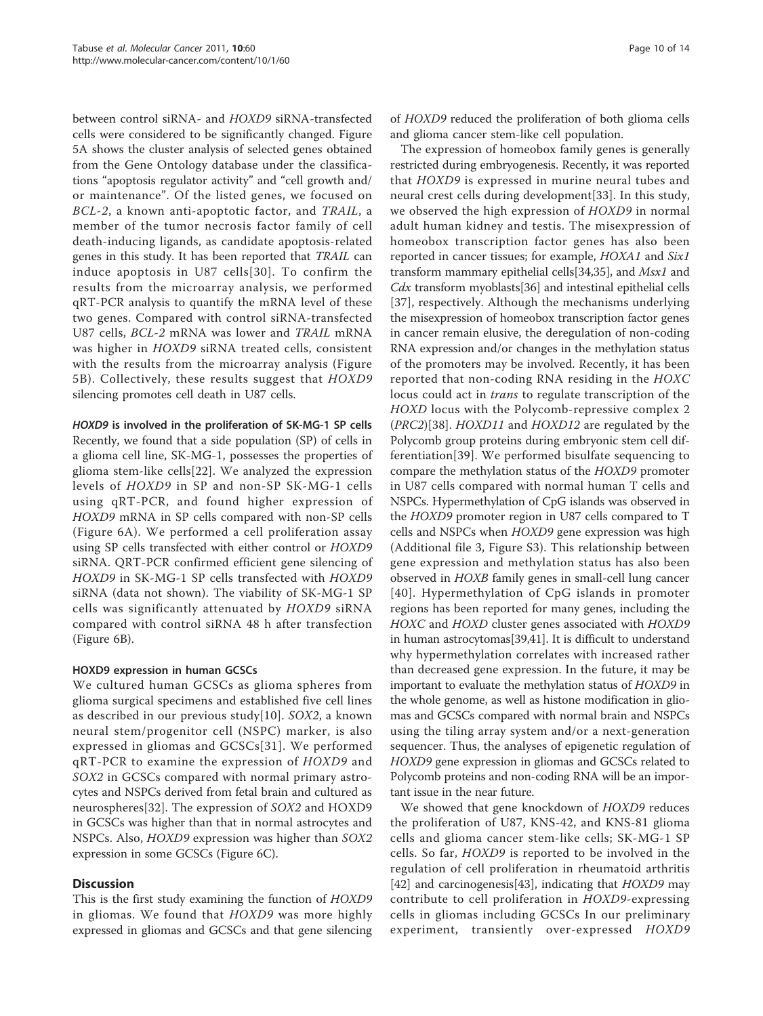between control siRNA- and HOXD9 siRNA-transfected cells were considered to be significantly changed. Figure [5A](#page-10-0) shows the cluster analysis of selected genes obtained from the Gene Ontology database under the classifications "apoptosis regulator activity" and "cell growth and/ or maintenance". Of the listed genes, we focused on BCL-2, a known anti-apoptotic factor, and TRAIL, a member of the tumor necrosis factor family of cell death-inducing ligands, as candidate apoptosis-related genes in this study. It has been reported that TRAIL can induce apoptosis in U87 cells[[30\]](#page-13-0). To confirm the results from the microarray analysis, we performed qRT-PCR analysis to quantify the mRNA level of these two genes. Compared with control siRNA-transfected U87 cells, BCL-2 mRNA was lower and TRAIL mRNA was higher in HOXD9 siRNA treated cells, consistent with the results from the microarray analysis (Figure [5B](#page-10-0)). Collectively, these results suggest that HOXD9 silencing promotes cell death in U87 cells.

# HOXD9 is involved in the proliferation of SK-MG-1 SP cells

Recently, we found that a side population (SP) of cells in a glioma cell line, SK-MG-1, possesses the properties of glioma stem-like cells[[22\]](#page-13-0). We analyzed the expression levels of HOXD9 in SP and non-SP SK-MG-1 cells using qRT-PCR, and found higher expression of HOXD9 mRNA in SP cells compared with non-SP cells (Figure [6A](#page-11-0)). We performed a cell proliferation assay using SP cells transfected with either control or HOXD9 siRNA. QRT-PCR confirmed efficient gene silencing of HOXD9 in SK-MG-1 SP cells transfected with HOXD9 siRNA (data not shown). The viability of SK-MG-1 SP cells was significantly attenuated by HOXD9 siRNA compared with control siRNA 48 h after transfection (Figure [6B](#page-11-0)).

# HOXD9 expression in human GCSCs

We cultured human GCSCs as glioma spheres from glioma surgical specimens and established five cell lines as described in our previous study[\[10](#page-13-0)]. SOX2, a known neural stem/progenitor cell (NSPC) marker, is also expressed in gliomas and GCSCs[[31](#page-13-0)]. We performed qRT-PCR to examine the expression of HOXD9 and SOX2 in GCSCs compared with normal primary astrocytes and NSPCs derived from fetal brain and cultured as neurospheres[[32\]](#page-13-0). The expression of SOX2 and HOXD9 in GCSCs was higher than that in normal astrocytes and NSPCs. Also, HOXD9 expression was higher than SOX2 expression in some GCSCs (Figure [6C](#page-11-0)).

# **Discussion**

This is the first study examining the function of HOXD9 in gliomas. We found that HOXD9 was more highly expressed in gliomas and GCSCs and that gene silencing of HOXD9 reduced the proliferation of both glioma cells and glioma cancer stem-like cell population.

The expression of homeobox family genes is generally restricted during embryogenesis. Recently, it was reported that HOXD9 is expressed in murine neural tubes and neural crest cells during development[\[33](#page-13-0)]. In this study, we observed the high expression of HOXD9 in normal adult human kidney and testis. The misexpression of homeobox transcription factor genes has also been reported in cancer tissues; for example, HOXA1 and Six1 transform mammary epithelial cells[[34,35](#page-13-0)], and Msx1 and  $Cdx$  transform myoblasts [\[36\]](#page-13-0) and intestinal epithelial cells [[37](#page-13-0)], respectively. Although the mechanisms underlying the misexpression of homeobox transcription factor genes in cancer remain elusive, the deregulation of non-coding RNA expression and/or changes in the methylation status of the promoters may be involved. Recently, it has been reported that non-coding RNA residing in the HOXC locus could act in trans to regulate transcription of the HOXD locus with the Polycomb-repressive complex 2 (PRC2)[\[38](#page-13-0)]. HOXD11 and HOXD12 are regulated by the Polycomb group proteins during embryonic stem cell differentiation[[39](#page-13-0)]. We performed bisulfate sequencing to compare the methylation status of the HOXD9 promoter in U87 cells compared with normal human T cells and NSPCs. Hypermethylation of CpG islands was observed in the HOXD9 promoter region in U87 cells compared to T cells and NSPCs when HOXD9 gene expression was high (Additional file [3](#page-12-0), Figure S3). This relationship between gene expression and methylation status has also been observed in HOXB family genes in small-cell lung cancer [[40\]](#page-13-0). Hypermethylation of CpG islands in promoter regions has been reported for many genes, including the HOXC and HOXD cluster genes associated with HOXD9 in human astrocytomas[[39,41](#page-13-0)]. It is difficult to understand why hypermethylation correlates with increased rather than decreased gene expression. In the future, it may be important to evaluate the methylation status of HOXD9 in the whole genome, as well as histone modification in gliomas and GCSCs compared with normal brain and NSPCs using the tiling array system and/or a next-generation sequencer. Thus, the analyses of epigenetic regulation of HOXD9 gene expression in gliomas and GCSCs related to Polycomb proteins and non-coding RNA will be an important issue in the near future.

We showed that gene knockdown of HOXD9 reduces the proliferation of U87, KNS-42, and KNS-81 glioma cells and glioma cancer stem-like cells; SK-MG-1 SP cells. So far, HOXD9 is reported to be involved in the regulation of cell proliferation in rheumatoid arthritis [[42\]](#page-13-0) and carcinogenesis[\[43](#page-13-0)], indicating that HOXD9 may contribute to cell proliferation in HOXD9-expressing cells in gliomas including GCSCs In our preliminary experiment, transiently over-expressed HOXD9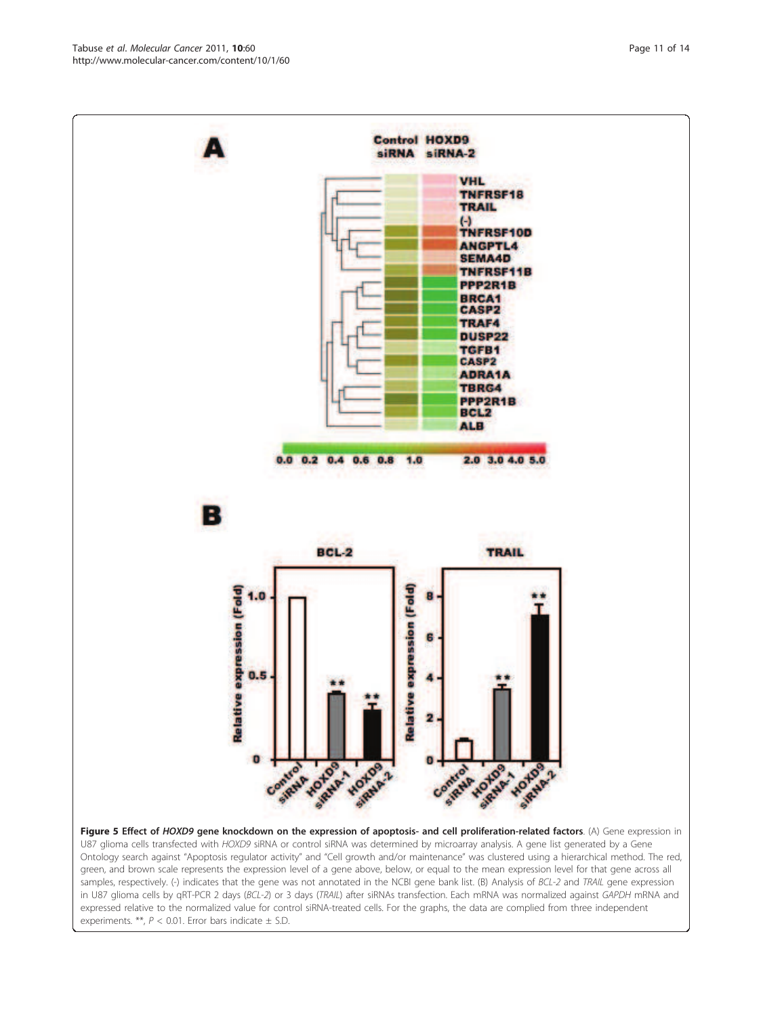**PARTIAL AVENUE** Figure 5 Effect of HOXD9 gene knockdown on the expression of apoptosis- and cell proliferation-related factors. (A) Gene expression in U87 glioma cells transfected with HOXD9 siRNA or control siRNA was determined by microarray analysis. A gene list generated by a Gene Ontology search against "Apoptosis regulator activity" and "Cell growth and/or maintenance" was clustered using a hierarchical method. The red, green, and brown scale represents the expression level of a gene above, below, or equal to the mean expression level for that gene across all samples, respectively. (-) indicates that the gene was not annotated in the NCBI gene bank list. (B) Analysis of BCL-2 and TRAIL gene expression in U87 glioma cells by qRT-PCR 2 days (BCL-2) or 3 days (TRAIL) after siRNAs transfection. Each mRNA was normalized against GAPDH mRNA and expressed relative to the normalized value for control siRNA-treated cells. For the graphs, the data are complied from three independent experiments. \*\*,  $P < 0.01$ . Error bars indicate  $\pm$  S.D.

**Control HOXD9** siRNA siRNA-2 **VHL** TNFRSF18 **TRAIL**  $\left( \cdot \right)$ TNFRSF10D **ANGPTL4 SEMA4D** TNFRSF11B PPP2R1B **BRCA1 CASP2 TRAF4** DUSP22 **TGFB1 CASP2 ADRA1A** 

 $0.0$  0.2 0.4 0.6 0.8

BCL-2

APARTHY W

HOHAMA

HOTOS 2

Control Co

SIRNA Y

 $1.0$ 

**Relative expression (Fold)** 

G

2

Control Co

**TBRG4** PPP2R1B **BCL2 ALB** 

2.0 3.0 4.0 5.0

**TRAIL** 

HOHALLY

<span id="page-10-0"></span>

В

**Relative expression (Fold)** 

 $0.5$ 

 $\bullet$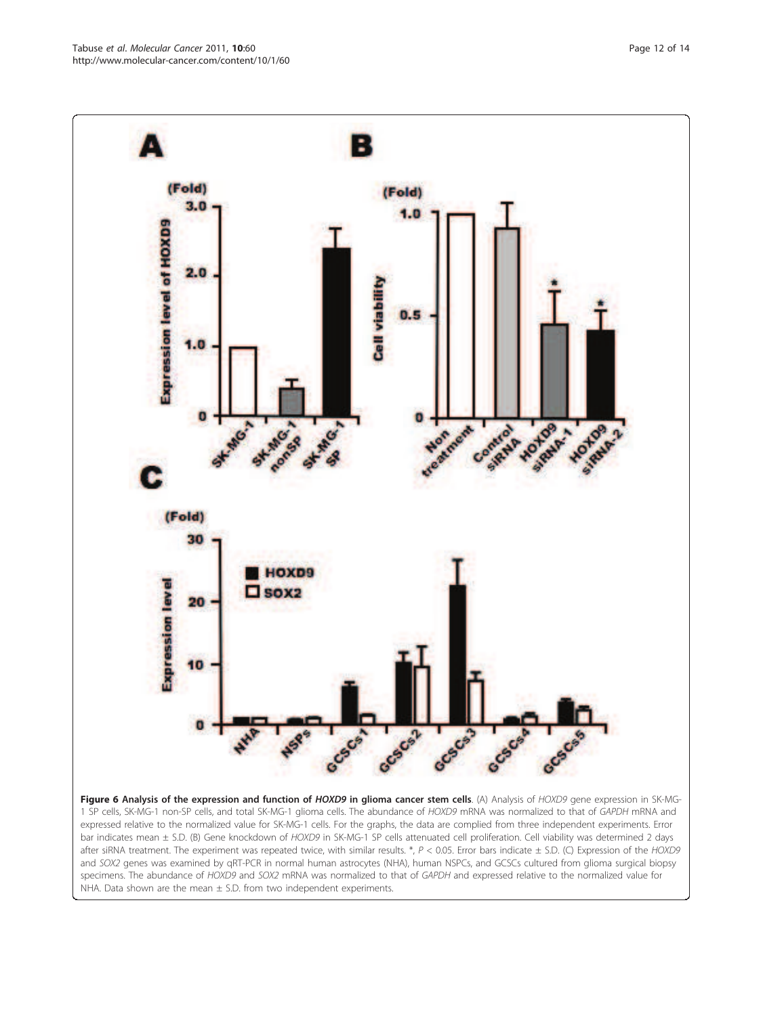<span id="page-11-0"></span>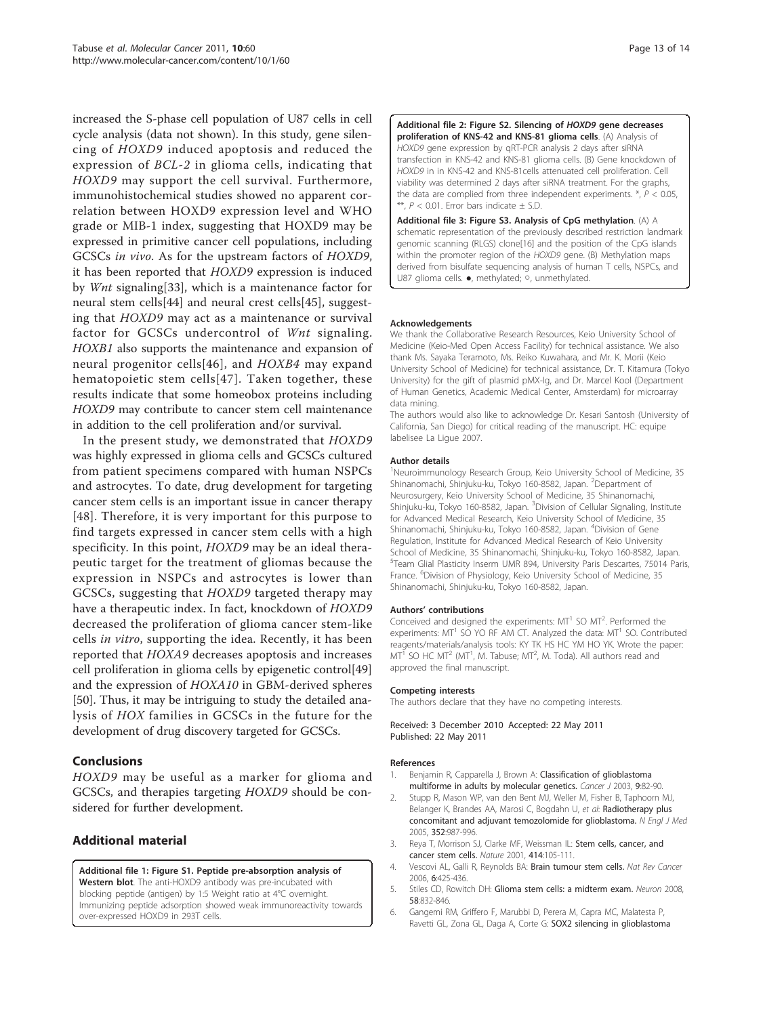<span id="page-12-0"></span>increased the S-phase cell population of U87 cells in cell cycle analysis (data not shown). In this study, gene silencing of HOXD9 induced apoptosis and reduced the expression of BCL-2 in glioma cells, indicating that HOXD9 may support the cell survival. Furthermore, immunohistochemical studies showed no apparent correlation between HOXD9 expression level and WHO grade or MIB-1 index, suggesting that HOXD9 may be expressed in primitive cancer cell populations, including GCSCs in vivo. As for the upstream factors of HOXD9, it has been reported that HOXD9 expression is induced by Wnt signaling[[33\]](#page-13-0), which is a maintenance factor for neural stem cells[\[44\]](#page-13-0) and neural crest cells[\[45](#page-13-0)], suggesting that HOXD9 may act as a maintenance or survival factor for GCSCs undercontrol of Wnt signaling. HOXB1 also supports the maintenance and expansion of neural progenitor cells[[46\]](#page-13-0), and HOXB4 may expand hematopoietic stem cells[[47\]](#page-13-0). Taken together, these results indicate that some homeobox proteins including HOXD9 may contribute to cancer stem cell maintenance in addition to the cell proliferation and/or survival.

In the present study, we demonstrated that HOXD9 was highly expressed in glioma cells and GCSCs cultured from patient specimens compared with human NSPCs and astrocytes. To date, drug development for targeting cancer stem cells is an important issue in cancer therapy [[48](#page-13-0)]. Therefore, it is very important for this purpose to find targets expressed in cancer stem cells with a high specificity. In this point, HOXD9 may be an ideal therapeutic target for the treatment of gliomas because the expression in NSPCs and astrocytes is lower than GCSCs, suggesting that HOXD9 targeted therapy may have a therapeutic index. In fact, knockdown of HOXD9 decreased the proliferation of glioma cancer stem-like cells in vitro, supporting the idea. Recently, it has been reported that HOXA9 decreases apoptosis and increases cell proliferation in glioma cells by epigenetic control[[49](#page-13-0)] and the expression of HOXA10 in GBM-derived spheres [[50\]](#page-13-0). Thus, it may be intriguing to study the detailed analysis of HOX families in GCSCs in the future for the development of drug discovery targeted for GCSCs.

# Conclusions

HOXD9 may be useful as a marker for glioma and GCSCs, and therapies targeting HOXD9 should be considered for further development.

# Additional material

[Additional file 1: F](http://www.biomedcentral.com/content/supplementary/1476-4598-10-60-S1.TIFF)igure S1. Peptide pre-absorption analysis of Western blot. The anti-HOXD9 antibody was pre-incubated with blocking peptide (antigen) by 1:5 Weight ratio at 4°C overnight. Immunizing peptide adsorption showed weak immunoreactivity towards over-expressed HOXD9 in 293T cells.

[Additional file 2: F](http://www.biomedcentral.com/content/supplementary/1476-4598-10-60-S2.TIFF)igure S2. Silencing of HOXD9 gene decreases proliferation of KNS-42 and KNS-81 glioma cells. (A) Analysis of HOXD9 gene expression by qRT-PCR analysis 2 days after siRNA transfection in KNS-42 and KNS-81 glioma cells. (B) Gene knockdown of HOXD9 in in KNS-42 and KNS-81cells attenuated cell proliferation. Cell viability was determined 2 days after siRNA treatment. For the graphs, the data are complied from three independent experiments.  $*$ ,  $P$  < 0.05, \*\*,  $P < 0.01$ . Error bars indicate  $\pm$  S.D.

[Additional file 3: F](http://www.biomedcentral.com/content/supplementary/1476-4598-10-60-S3.TIFF)igure S3. Analysis of CpG methylation. (A) A schematic representation of the previously described restriction landmark genomic scanning (RLGS) clone[\[16](#page-13-0)] and the position of the CpG islands within the promoter region of the HOXD9 gene. (B) Methylation maps derived from bisulfate sequencing analysis of human T cells, NSPCs, and U87 glioma cells. ●, methylated; ○, unmethylated.

#### Acknowledgements

We thank the Collaborative Research Resources, Keio University School of Medicine (Keio-Med Open Access Facility) for technical assistance. We also thank Ms. Sayaka Teramoto, Ms. Reiko Kuwahara, and Mr. K. Morii (Keio University School of Medicine) for technical assistance, Dr. T. Kitamura (Tokyo University) for the gift of plasmid pMX-Ig, and Dr. Marcel Kool (Department of Human Genetics, Academic Medical Center, Amsterdam) for microarray data mining.

The authors would also like to acknowledge Dr. Kesari Santosh (University of California, San Diego) for critical reading of the manuscript. HC: equipe labelisee La Ligue 2007.

#### Author details

<sup>1</sup>Neuroimmunology Research Group, Keio University School of Medicine, 35 Shinanomachi, Shinjuku-ku, Tokyo 160-8582, Japan. <sup>2</sup>Department of Neurosurgery, Keio University School of Medicine, 35 Shinanomachi, Shinjuku-ku, Tokyo 160-8582, Japan. <sup>3</sup>Division of Cellular Signaling, Institute for Advanced Medical Research, Keio University School of Medicine, 35 Shinanomachi, Shinjuku-ku, Tokyo 160-8582, Japan. <sup>4</sup>Division of Gene Regulation, Institute for Advanced Medical Research of Keio University School of Medicine, 35 Shinanomachi, Shinjuku-ku, Tokyo 160-8582, Japan. 5 Team Glial Plasticity Inserm UMR 894, University Paris Descartes, 75014 Paris, France. <sup>6</sup>Division of Physiology, Keio University School of Medicine, 35 Shinanomachi, Shinjuku-ku, Tokyo 160-8582, Japan.

#### Authors' contributions

Conceived and designed the experiments:  $MT<sup>1</sup>$  SO  $MT<sup>2</sup>$ . Performed the experiments:  $MT<sup>1</sup>$  SO YO RF AM CT. Analyzed the data:  $MT<sup>1</sup>$  SO. Contributed reagents/materials/analysis tools: KY TK HS HC YM HO YK. Wrote the paper:  $MT^T$  SO HC MT<sup>2</sup> (MT<sup>1</sup>, M. Tabuse; MT<sup>2</sup>, M. Toda). All authors read and approved the final manuscript.

#### Competing interests

The authors declare that they have no competing interests.

Received: 3 December 2010 Accepted: 22 May 2011 Published: 22 May 2011

#### References

- 1. Benjamin R, Capparella J, Brown A: [Classification of glioblastoma](http://www.ncbi.nlm.nih.gov/pubmed/12784873?dopt=Abstract) [multiforme in adults by molecular genetics.](http://www.ncbi.nlm.nih.gov/pubmed/12784873?dopt=Abstract) Cancer J 2003, 9:82-90.
- 2. Stupp R, Mason WP, van den Bent MJ, Weller M, Fisher B, Taphoorn MJ, Belanger K, Brandes AA, Marosi C, Bogdahn U, et al: [Radiotherapy plus](http://www.ncbi.nlm.nih.gov/pubmed/15758009?dopt=Abstract) [concomitant and adjuvant temozolomide for glioblastoma.](http://www.ncbi.nlm.nih.gov/pubmed/15758009?dopt=Abstract) N Engl J Med 2005, 352:987-996.
- 3. Reya T, Morrison SJ, Clarke MF, Weissman IL: [Stem cells, cancer, and](http://www.ncbi.nlm.nih.gov/pubmed/11689955?dopt=Abstract) [cancer stem cells.](http://www.ncbi.nlm.nih.gov/pubmed/11689955?dopt=Abstract) Nature 2001, 414:105-111.
- 4. Vescovi AL, Galli R, Reynolds BA: [Brain tumour stem cells.](http://www.ncbi.nlm.nih.gov/pubmed/16723989?dopt=Abstract) Nat Rev Cancer 2006, 6:425-436.
- 5. Stiles CD, Rowitch DH: [Glioma stem cells: a midterm exam.](http://www.ncbi.nlm.nih.gov/pubmed/18579075?dopt=Abstract) Neuron 2008, 58:832-846.
- 6. Gangemi RM, Griffero F, Marubbi D, Perera M, Capra MC, Malatesta P, Ravetti GL, Zona GL, Daga A, Corte G: [SOX2 silencing in glioblastoma](http://www.ncbi.nlm.nih.gov/pubmed/18948646?dopt=Abstract)